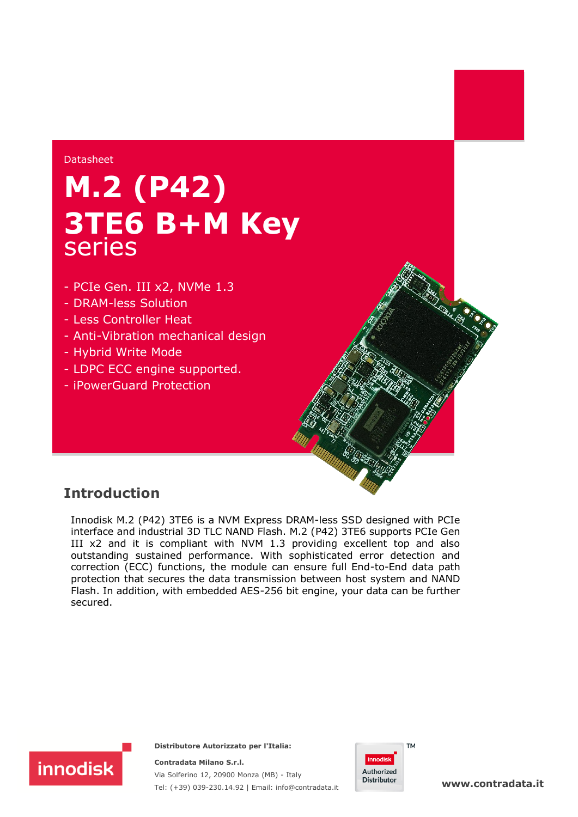#### Datasheet

## **M.2 (P42) 3TE6 B+M Key** series

- PCIe Gen. III x2, NVMe 1.3
- DRAM-less Solution
- Less Controller Heat
- Anti-Vibration mechanical design
- Hybrid Write Mode
- LDPC ECC engine supported.
- iPowerGuard Protection

## **Introduction**

Innodisk M.2 (P42) 3TE6 is a NVM Express DRAM-less SSD designed with PCIe interface and industrial 3D TLC NAND Flash. M.2 (P42) 3TE6 supports PCIe Gen III x2 and it is compliant with NVM 1.3 providing excellent top and also outstanding sustained performance. With sophisticated error detection and correction (ECC) functions, the module can ensure full End-to-End data path protection that secures the data transmission between host system and NAND Flash. In addition, with embedded AES-256 bit engine, your data can be further secured.



**Distributore Autorizzato per l'Italia:** 

**Contradata Milano S.r.l.** Via Solferino 12, 20900 Monza (MB) - Italy Tel: (+39) 039-230.14.92 | Email: [info@contradata.it](mailto:info@contradata.it)



**[www.contradata.it](http://www.contradata.it)**